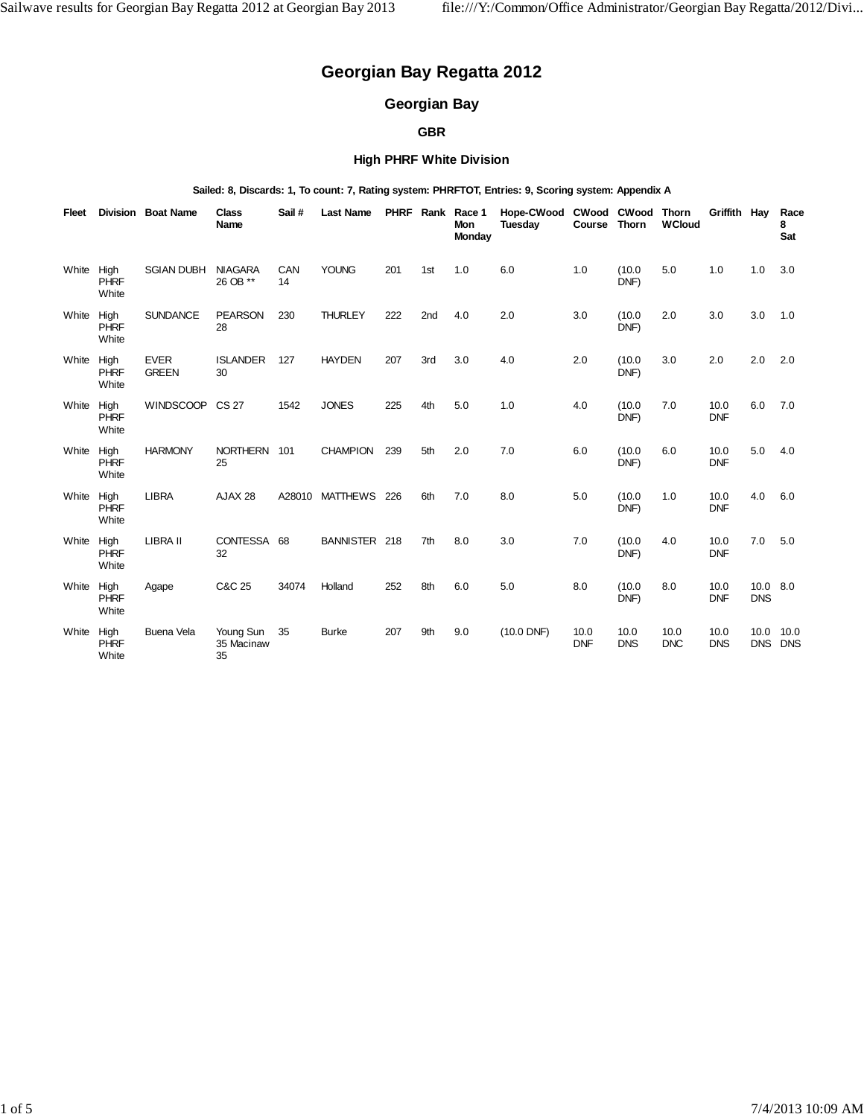# **Georgian Bay Regatta 2012**

## **Georgian Bay**

## **GBR**

## **High PHRF White Division**

#### **Sailed: 8, Discards: 1, To count: 7, Rating system: PHRFTOT, Entries: 9, Scoring system: Appendix A**

| Fleet |                              | <b>Division Boat Name</b>   | <b>Class</b><br>Name          | Sail#     | <b>Last Name</b> |     |                 | PHRF Rank Race 1<br>Mon<br>Monday | Hope-CWood CWood CWood<br>Tuesday | Course             | Thorn              | <b>Thorn</b><br><b>WCloud</b> | Griffith Hay       |                        | Race<br>8<br>Sat   |
|-------|------------------------------|-----------------------------|-------------------------------|-----------|------------------|-----|-----------------|-----------------------------------|-----------------------------------|--------------------|--------------------|-------------------------------|--------------------|------------------------|--------------------|
| White | High<br><b>PHRF</b><br>White | <b>SGIAN DUBH</b>           | <b>NIAGARA</b><br>26 OB **    | CAN<br>14 | <b>YOUNG</b>     | 201 | 1st             | 1.0                               | 6.0                               | 1.0                | (10.0)<br>DNF)     | 5.0                           | 1.0                | 1.0                    | 3.0                |
| White | High<br><b>PHRF</b><br>White | <b>SUNDANCE</b>             | <b>PEARSON</b><br>28          | 230       | <b>THURLEY</b>   | 222 | 2 <sub>nd</sub> | 4.0                               | 2.0                               | 3.0                | (10.0)<br>DNF)     | 2.0                           | 3.0                | 3.0                    | 1.0                |
| White | High<br><b>PHRF</b><br>White | <b>EVER</b><br><b>GREEN</b> | <b>ISLANDER</b><br>30         | 127       | <b>HAYDEN</b>    | 207 | 3rd             | 3.0                               | 4.0                               | 2.0                | (10.0)<br>DNF)     | 3.0                           | 2.0                | 2.0                    | 2.0                |
| White | High<br><b>PHRF</b><br>White | <b>WINDSCOOP</b>            | <b>CS 27</b>                  | 1542      | <b>JONES</b>     | 225 | 4th             | 5.0                               | 1.0                               | 4.0                | (10.0)<br>DNF)     | 7.0                           | 10.0<br><b>DNF</b> | 6.0                    | 7.0                |
| White | High<br><b>PHRF</b><br>White | <b>HARMONY</b>              | NORTHERN 101<br>25            |           | <b>CHAMPION</b>  | 239 | 5th             | 2.0                               | 7.0                               | 6.0                | (10.0)<br>DNF)     | 6.0                           | 10.0<br><b>DNF</b> | 5.0                    | 4.0                |
| White | High<br><b>PHRF</b><br>White | <b>LIBRA</b>                | AJAX 28                       |           | A28010 MATTHEWS  | 226 | 6th             | 7.0                               | 8.0                               | 5.0                | (10.0)<br>DNF)     | 1.0                           | 10.0<br><b>DNF</b> | 4.0                    | 6.0                |
| White | High<br><b>PHRF</b><br>White | LIBRA II                    | CONTESSA 68<br>32             |           | BANNISTER 218    |     | 7th             | 8.0                               | 3.0                               | 7.0                | (10.0)<br>DNF)     | 4.0                           | 10.0<br><b>DNF</b> | 7.0                    | 5.0                |
| White | High<br><b>PHRF</b><br>White | Agape                       | C&C 25                        | 34074     | Holland          | 252 | 8th             | 6.0                               | 5.0                               | 8.0                | (10.0)<br>DNF)     | 8.0                           | 10.0<br><b>DNF</b> | 10.0 8.0<br><b>DNS</b> |                    |
| White | High<br><b>PHRF</b><br>White | <b>Buena Vela</b>           | Young Sun<br>35 Macinaw<br>35 | 35        | <b>Burke</b>     | 207 | 9th             | 9.0                               | $(10.0$ DNF)                      | 10.0<br><b>DNF</b> | 10.0<br><b>DNS</b> | 10.0<br><b>DNC</b>            | 10.0<br><b>DNS</b> | 10.0<br><b>DNS</b>     | 10.0<br><b>DNS</b> |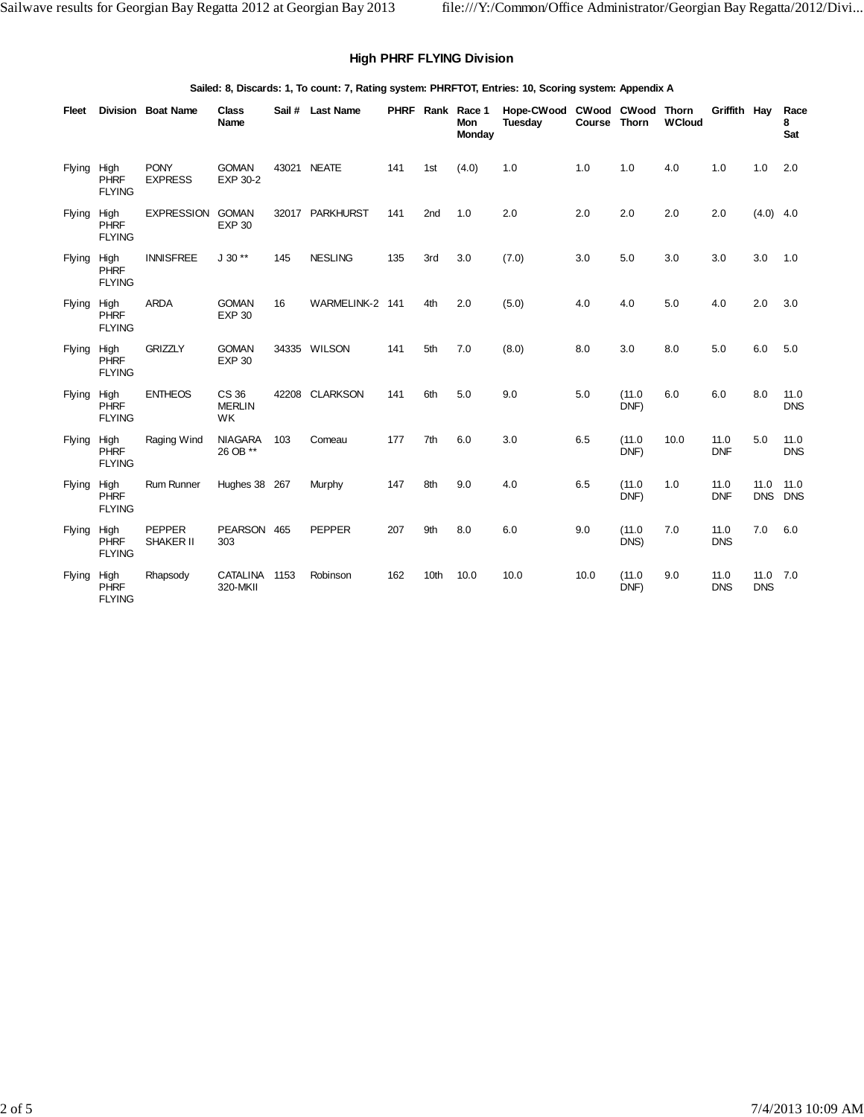## **High PHRF FLYING Division**

#### **Sailed: 8, Discards: 1, To count: 7, Rating system: PHRFTOT, Entries: 10, Scoring system: Appendix A**

| Fleet         |                                      | <b>Division Boat Name</b>     | <b>Class</b><br>Name          |       | Sail # Last Name |     |      | PHRF Rank Race 1<br>Mon<br>Monday | Hope-CWood<br>Tuesday | Course Thorn | CWood CWood Thorn | <b>WCloud</b> | Griffith Hay       |                    | Race<br>8<br>Sat   |
|---------------|--------------------------------------|-------------------------------|-------------------------------|-------|------------------|-----|------|-----------------------------------|-----------------------|--------------|-------------------|---------------|--------------------|--------------------|--------------------|
| Flying High   | <b>PHRF</b><br><b>FLYING</b>         | <b>PONY</b><br><b>EXPRESS</b> | <b>GOMAN</b><br>EXP 30-2      | 43021 | <b>NEATE</b>     | 141 | 1st  | (4.0)                             | 1.0                   | 1.0          | 1.0               | 4.0           | 1.0                | 1.0                | 2.0                |
| Flying        | High<br><b>PHRF</b><br><b>FLYING</b> | <b>EXPRESSION</b>             | <b>GOMAN</b><br><b>EXP 30</b> |       | 32017 PARKHURST  | 141 | 2nd  | 1.0                               | 2.0                   | 2.0          | 2.0               | 2.0           | 2.0                | $(4.0)$ 4.0        |                    |
| Flying        | High<br><b>PHRF</b><br><b>FLYING</b> | <b>INNISFREE</b>              | $J 30**$                      | 145   | <b>NESLING</b>   | 135 | 3rd  | 3.0                               | (7.0)                 | 3.0          | 5.0               | 3.0           | 3.0                | 3.0                | 1.0                |
| Flying        | High<br><b>PHRF</b><br><b>FLYING</b> | <b>ARDA</b>                   | <b>GOMAN</b><br><b>EXP 30</b> | 16    | WARMELINK-2 141  |     | 4th  | 2.0                               | (5.0)                 | 4.0          | 4.0               | 5.0           | 4.0                | 2.0                | 3.0                |
| Flying        | High<br><b>PHRF</b><br><b>FLYING</b> | <b>GRIZZLY</b>                | <b>GOMAN</b><br><b>EXP 30</b> |       | 34335 WILSON     | 141 | 5th  | 7.0                               | (8.0)                 | 8.0          | 3.0               | 8.0           | 5.0                | 6.0                | 5.0                |
| Flying        | High<br><b>PHRF</b><br><b>FLYING</b> | <b>ENTHEOS</b>                | CS 36<br><b>MERLIN</b><br>WK  |       | 42208 CLARKSON   | 141 | 6th  | 5.0                               | 9.0                   | 5.0          | (11.0)<br>DNF)    | 6.0           | 6.0                | 8.0                | 11.0<br><b>DNS</b> |
| Flying        | High<br><b>PHRF</b><br><b>FLYING</b> | Raging Wind                   | <b>NIAGARA</b><br>26 OB **    | 103   | Comeau           | 177 | 7th  | 6.0                               | 3.0                   | 6.5          | (11.0)<br>DNF)    | 10.0          | 11.0<br><b>DNF</b> | 5.0                | 11.0<br><b>DNS</b> |
| <b>Flying</b> | High<br><b>PHRF</b><br><b>FLYING</b> | Rum Runner                    | Hughes 38 267                 |       | Murphy           | 147 | 8th  | 9.0                               | 4.0                   | 6.5          | (11.0)<br>DNF)    | 1.0           | 11.0<br><b>DNF</b> | 11.0<br><b>DNS</b> | 11.0<br><b>DNS</b> |
| Flying        | High<br><b>PHRF</b><br><b>FLYING</b> | <b>PEPPER</b><br>SHAKER II    | PEARSON 465<br>303            |       | <b>PEPPER</b>    | 207 | 9th  | 8.0                               | 6.0                   | 9.0          | (11.0)<br>DNS)    | 7.0           | 11.0<br><b>DNS</b> | 7.0                | 6.0                |
| Flying        | High<br><b>PHRF</b><br><b>FLYING</b> | Rhapsody                      | <b>CATALINA</b><br>320-MKII   | 1153  | Robinson         | 162 | 10th | 10.0                              | 10.0                  | 10.0         | (11.0)<br>DNF)    | 9.0           | 11.0<br><b>DNS</b> | 11.0<br><b>DNS</b> | 7.0                |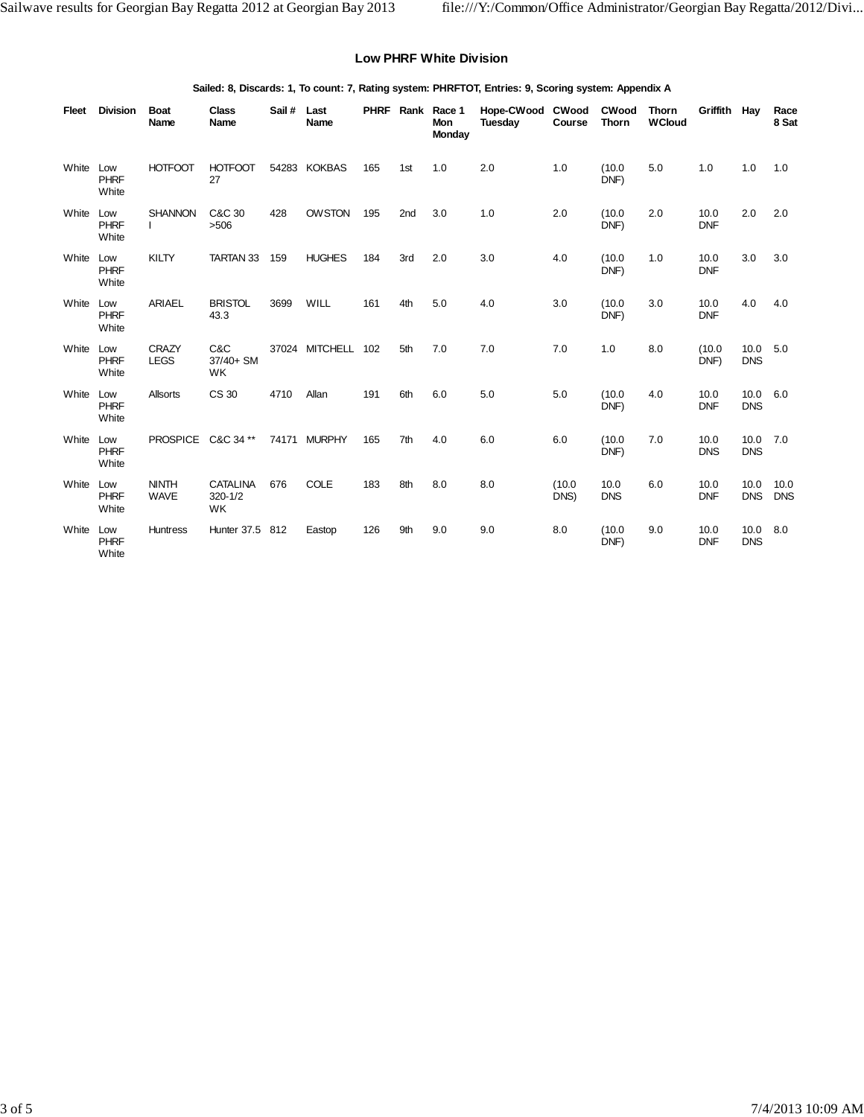#### **Low PHRF White Division**

#### **Sailed: 8, Discards: 1, To count: 7, Rating system: PHRFTOT, Entries: 9, Scoring system: Appendix A**

| Fleet     | <b>Division</b>             | <b>Boat</b><br>Name            | <b>Class</b><br>Name                        | Sail # | Last<br>Name       |     |                 | PHRF Rank Race 1<br><b>Mon</b><br>Monday | Hope-CWood<br>Tuesday | <b>CWood</b><br>Course | <b>CWood</b><br><b>Thorn</b> | Thorn<br><b>WCloud</b> | Griffith Hay       |                        | Race<br>8 Sat      |
|-----------|-----------------------------|--------------------------------|---------------------------------------------|--------|--------------------|-----|-----------------|------------------------------------------|-----------------------|------------------------|------------------------------|------------------------|--------------------|------------------------|--------------------|
| White     | Low<br><b>PHRF</b><br>White | <b>HOTFOOT</b>                 | <b>HOTFOOT</b><br>27                        |        | 54283 KOKBAS       | 165 | 1st             | 1.0                                      | 2.0                   | 1.0                    | (10.0)<br>DNF)               | 5.0                    | 1.0                | 1.0                    | 1.0                |
| White     | Low<br><b>PHRF</b><br>White | <b>SHANNON</b><br>$\mathbf{I}$ | C&C 30<br>>506                              | 428    | <b>OWSTON</b>      | 195 | 2 <sub>nd</sub> | 3.0                                      | 1.0                   | 2.0                    | (10.0)<br>DNF)               | 2.0                    | 10.0<br><b>DNF</b> | 2.0                    | 2.0                |
| White     | Low<br><b>PHRF</b><br>White | KILTY                          | TARTAN 33                                   | 159    | <b>HUGHES</b>      | 184 | 3rd             | 2.0                                      | 3.0                   | 4.0                    | (10.0)<br>DNF)               | 1.0                    | 10.0<br><b>DNF</b> | 3.0                    | 3.0                |
| White Low | <b>PHRF</b><br>White        | <b>ARIAEL</b>                  | <b>BRISTOL</b><br>43.3                      | 3699   | WILL               | 161 | 4th             | 5.0                                      | 4.0                   | 3.0                    | (10.0)<br>DNF)               | 3.0                    | 10.0<br><b>DNF</b> | 4.0                    | 4.0                |
| White     | Low<br>PHRF<br>White        | <b>CRAZY</b><br><b>LEGS</b>    | C&C<br>37/40+ SM<br><b>WK</b>               |        | 37024 MITCHELL 102 |     | 5th             | 7.0                                      | 7.0                   | 7.0                    | 1.0                          | 8.0                    | (10.0)<br>DNF)     | 10.0<br><b>DNS</b>     | 5.0                |
| White     | Low<br><b>PHRF</b><br>White | Allsorts                       | CS 30                                       | 4710   | Allan              | 191 | 6th             | 6.0                                      | 5.0                   | 5.0                    | (10.0)<br>DNF)               | 4.0                    | 10.0<br><b>DNF</b> | 10.0<br><b>DNS</b>     | 6.0                |
| White     | Low<br><b>PHRF</b><br>White | <b>PROSPICE</b>                | C&C 34 **                                   |        | 74171 MURPHY       | 165 | 7th             | 4.0                                      | 6.0                   | 6.0                    | (10.0)<br>DNF)               | 7.0                    | 10.0<br><b>DNS</b> | 10.0 7.0<br><b>DNS</b> |                    |
| White     | Low<br><b>PHRF</b><br>White | <b>NINTH</b><br><b>WAVE</b>    | <b>CATALINA</b><br>$320 - 1/2$<br><b>WK</b> | 676    | <b>COLE</b>        | 183 | 8th             | 8.0                                      | 8.0                   | (10.0)<br>DNS)         | 10.0<br><b>DNS</b>           | 6.0                    | 10.0<br><b>DNF</b> | 10.0<br><b>DNS</b>     | 10.0<br><b>DNS</b> |
| White Low | <b>PHRF</b><br>White        | <b>Huntress</b>                | Hunter 37.5                                 | 812    | Eastop             | 126 | 9th             | 9.0                                      | 9.0                   | 8.0                    | (10.0)<br>DNF)               | 9.0                    | 10.0<br><b>DNF</b> | 10.0<br><b>DNS</b>     | 8.0                |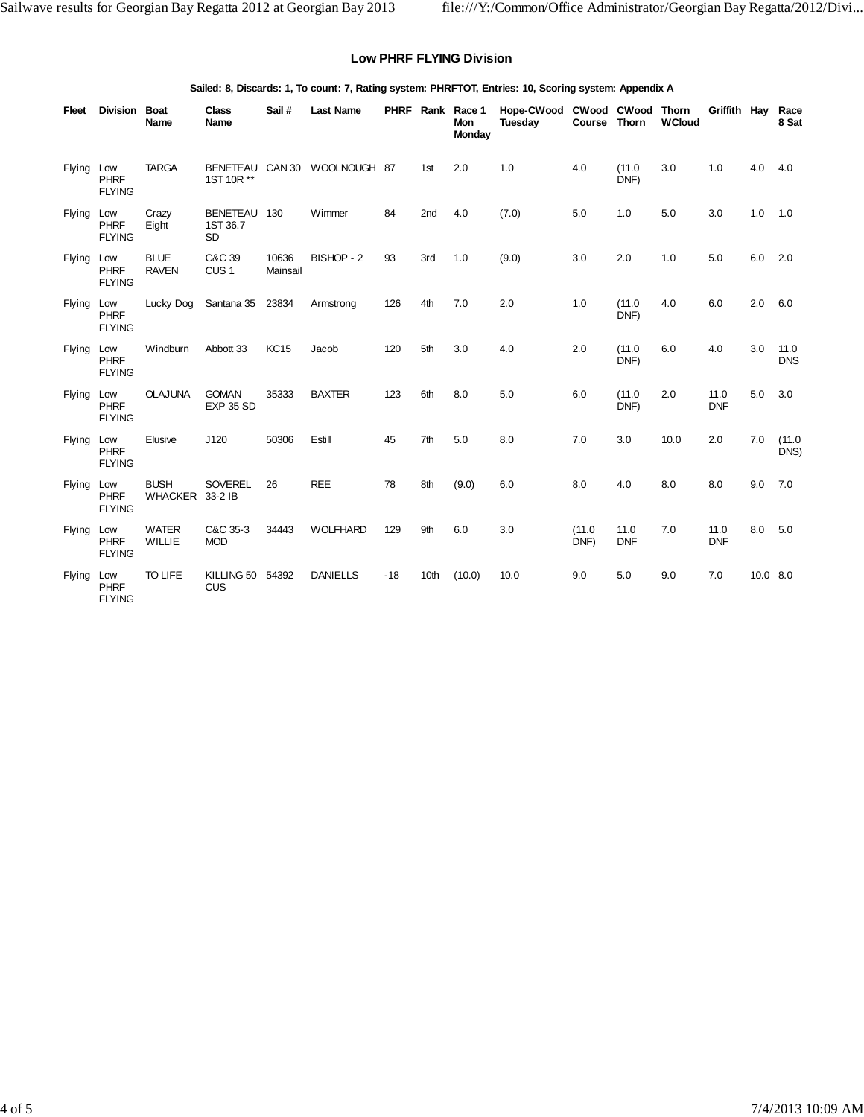### **Low PHRF FLYING Division**

#### **Sailed: 8, Discards: 1, To count: 7, Rating system: PHRFTOT, Entries: 10, Scoring system: Appendix A**

| Fleet         | Division                            | <b>Boat</b><br>Name         | <b>Class</b><br>Name                     | Sail #            | <b>Last Name</b>    |       |                 | PHRF Rank Race 1<br>Mon<br>Monday | Hope-CWood CWood CWood<br>Tuesday | Course         | <b>Thorn</b>       | <b>Thorn</b><br><b>WCloud</b> | Griffith Hay       |            | Race<br>8 Sat      |
|---------------|-------------------------------------|-----------------------------|------------------------------------------|-------------------|---------------------|-------|-----------------|-----------------------------------|-----------------------------------|----------------|--------------------|-------------------------------|--------------------|------------|--------------------|
| Flying        | Low<br><b>PHRF</b><br><b>FLYING</b> | <b>TARGA</b>                | <b>BENETEAU</b><br>1ST 10R **            |                   | CAN 30 WOOLNOUGH 87 |       | 1st             | 2.0                               | 1.0                               | 4.0            | (11.0)<br>DNF)     | 3.0                           | 1.0                | 4.0        | 4.0                |
| Flying        | Low<br><b>PHRF</b><br><b>FLYING</b> | Crazy<br>Eight              | <b>BENETEAU</b><br>1ST 36.7<br><b>SD</b> | 130               | Wimmer              | 84    | 2 <sub>nd</sub> | 4.0                               | (7.0)                             | 5.0            | 1.0                | 5.0                           | 3.0                | 1.0        | 1.0                |
| <b>Flying</b> | Low<br>PHRF<br><b>FLYING</b>        | <b>BLUE</b><br><b>RAVEN</b> | C&C 39<br>CUS <sub>1</sub>               | 10636<br>Mainsail | BISHOP - 2          | 93    | 3rd             | 1.0                               | (9.0)                             | 3.0            | 2.0                | 1.0                           | 5.0                | 6.0        | 2.0                |
| <b>Flying</b> | Low<br><b>PHRF</b><br><b>FLYING</b> | Lucky Dog                   | Santana 35                               | 23834             | Armstrong           | 126   | 4th             | 7.0                               | 2.0                               | 1.0            | (11.0)<br>DNF)     | 4.0                           | 6.0                | 2.0        | 6.0                |
| <b>Flying</b> | Low<br><b>PHRF</b><br><b>FLYING</b> | Windburn                    | Abbott 33                                | <b>KC15</b>       | Jacob               | 120   | 5th             | 3.0                               | 4.0                               | 2.0            | (11.0)<br>DNF)     | 6.0                           | 4.0                | 3.0        | 11.0<br><b>DNS</b> |
| Flying        | Low<br><b>PHRF</b><br><b>FLYING</b> | <b>OLAJUNA</b>              | <b>GOMAN</b><br><b>EXP 35 SD</b>         | 35333             | <b>BAXTER</b>       | 123   | 6th             | 8.0                               | 5.0                               | 6.0            | (11.0)<br>DNF)     | 2.0                           | 11.0<br><b>DNF</b> | 5.0        | 3.0                |
| Flying        | Low<br><b>PHRF</b><br><b>FLYING</b> | Elusive                     | J120                                     | 50306             | Estill              | 45    | 7th             | 5.0                               | 8.0                               | 7.0            | 3.0                | 10.0                          | 2.0                | 7.0        | (11.0)<br>DNS)     |
| Flying        | Low<br><b>PHRF</b><br><b>FLYING</b> | <b>BUSH</b><br>WHACKER      | <b>SOVEREL</b><br>33-2 IB                | 26                | <b>REE</b>          | 78    | 8th             | (9.0)                             | 6.0                               | 8.0            | 4.0                | 8.0                           | 8.0                | 9.0        | 7.0                |
| Flying        | Low<br><b>PHRF</b><br><b>FLYING</b> | <b>WATER</b><br>WILLIE      | C&C 35-3<br><b>MOD</b>                   | 34443             | <b>WOLFHARD</b>     | 129   | 9th             | 6.0                               | 3.0                               | (11.0)<br>DNF) | 11.0<br><b>DNF</b> | 7.0                           | 11.0<br><b>DNF</b> | 8.0        | 5.0                |
| Flying        | Low<br><b>PHRF</b><br><b>FLYING</b> | <b>TO LIFE</b>              | KILLING 50<br>CUS                        | 54392             | <b>DANIELLS</b>     | $-18$ | 10th            | (10.0)                            | 10.0                              | 9.0            | 5.0                | 9.0                           | 7.0                | $10.0$ 8.0 |                    |